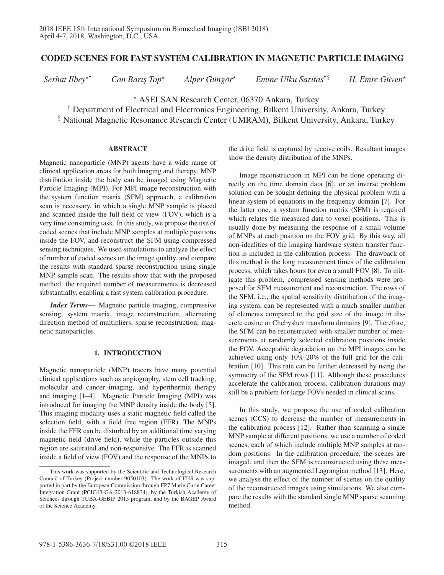# CODED SCENES FOR FAST SYSTEM CALIBRATION IN MAGNETIC PARTICLE IMAGING

*Serhat Ilbey*-

† *Can Barıs¸ Top*-

*Alper Güngör*<sup>\*</sup>

*Emine Ulku Saritas*†§ *H. Emre Guven ¨* -

 $H.$  Emre Güven\*

- ASELSAN Research Center, 06370 Ankara, Turkey

† Department of Electrical and Electronics Engineering, Bilkent University, Ankara, Turkey § National Magnetic Resonance Research Center (UMRAM), Bilkent University, Ankara, Turkey

## ABSTRACT

Magnetic nanoparticle (MNP) agents have a wide range of clinical application areas for both imaging and therapy. MNP distribution inside the body can be imaged using Magnetic Particle Imaging (MPI). For MPI image reconstruction with the system function matrix (SFM) approach, a calibration scan is necessary, in which a single MNP sample is placed and scanned inside the full field of view (FOV), which is a very time consuming task. In this study, we propose the use of coded scenes that include MNP samples at multiple positions inside the FOV, and reconstruct the SFM using compressed sensing techniques. We used simulations to analyze the effect of number of coded scenes on the image quality, and compare the results with standard sparse reconstruction using single MNP sample scan. The results show that with the proposed method, the required number of measurements is decreased substantially, enabling a fast system calibration procedure.

*Index Terms*— Magnetic particle imaging, compressive sensing, system matrix, image reconstruction, alternating direction method of multipliers, sparse reconstruction, magnetic nanoparticles

# 1. INTRODUCTION

Magnetic nanoparticle (MNP) tracers have many potential clinical applications such as angiography, stem cell tracking, molecular and cancer imaging, and hyperthermia therapy and imaging [1–4]. Magnetic Particle Imaging (MPI) was introduced for imaging the MNP density inside the body [5]. This imaging modality uses a static magnetic field called the selection field, with a field free region (FFR). The MNPs inside the FFR can be disturbed by an additional time varying magnetic field (drive field), while the particles outside this region are saturated and non-responsive. The FFR is scanned inside a field of view (FOV) and the response of the MNPs to

the drive field is captured by receive coils. Resultant images show the density distribution of the MNPs.

Image reconstruction in MPI can be done operating directly on the time domain data [6], or an inverse problem solution can be sought defining the physical problem with a linear system of equations in the frequency domain [7]. For the latter one, a system function matrix (SFM) is required which relates the measured data to voxel positions. This is usually done by measuring the response of a small volume of MNPs at each position on the FOV grid. By this way, all non-idealities of the imaging hardware system transfer function is included in the calibration process. The drawback of this method is the long measurement times of the calibration process, which takes hours for even a small FOV [8]. To mitigate this problem, compressed sensing methods were proposed for SFM measurement and reconstruction. The rows of the SFM, i.e., the spatial sensitivity distribution of the imaging system, can be represented with a much smaller number of elements compared to the grid size of the image in discrete cosine or Chebyshev transform domains [9]. Therefore, the SFM can be reconstructed with smaller number of measurements at randomly selected calibration positions inside the FOV. Acceptable degradation on the MPI images can be achieved using only 10%-20% of the full grid for the calibration [10]. This rate can be further decreased by using the symmetry of the SFM rows [11]. Although these procedures accelerate the calibration process, calibration durations may still be a problem for large FOVs needed in clinical scans.

In this study, we propose the use of coded calibration scenes (CCS) to decrease the number of measurements in the calibration process [12]. Rather than scanning a single MNP sample at different positions, we use a number of coded scenes, each of which include multiple MNP samples at random positions. In the calibration procedure, the scenes are imaged, and then the SFM is reconstructed using these measurements with an augmented Lagrangian method [13]. Here, we analyse the effect of the number of scenes on the quality of the reconstructed images using simulations. We also compare the results with the standard single MNP sparse scanning method.

This work was supported by the Scientific and Technological Research Council of Turkey (Project number 9050103). The work of EUS was supported in part by the European Commission through FP7 Marie Curie Career Integration Grant (PCIG13-GA-2013-618834), by the Turkish Academy of Sciences through TUBA-GEBIP 2015 program, and by the BAGEP Award of the Science Academy.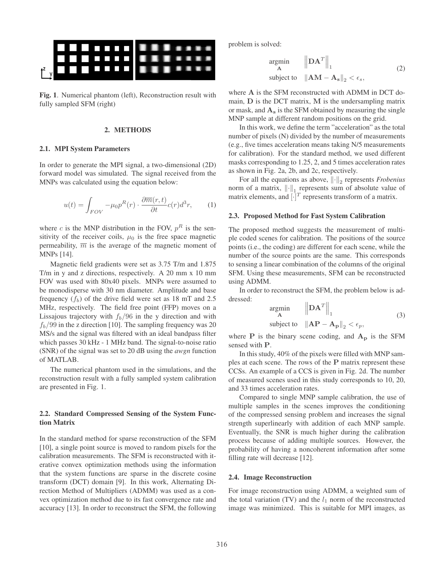

Fig. 1. Numerical phantom (left), Reconstruction result with fully sampled SFM (right)

#### 2. METHODS

### 2.1. MPI System Parameters

In order to generate the MPI signal, a two-dimensional (2D) forward model was simulated. The signal received from the MNPs was calculated using the equation below:

$$
u(t) = \int_{FOV} -\mu_0 p^R(r) \cdot \frac{\partial \overline{m}(r,t)}{\partial t} c(r) d^3r, \qquad (1)
$$

where c is the MNP distribution in the FOV,  $p<sup>R</sup>$  is the sensitivity of the receiver coils,  $\mu_0$  is the free space magnetic permeability,  $\overline{m}$  is the average of the magnetic moment of MNPs [14].

Magnetic field gradients were set as 3.75 T/m and 1.875 T/m in y and z directions, respectively. A 20 mm x 10 mm FOV was used with 80x40 pixels. MNPs were assumed to be monodisperse with 30 nm diameter. Amplitude and base frequency  $(f_b)$  of the drive field were set as 18 mT and 2.5 MHz, respectively. The field free point (FFP) moves on a Lissajous trajectory with  $f_b/96$  in the y direction and with  $f_b/99$  in the z direction [10]. The sampling frequency was 20 MS/s and the signal was filtered with an ideal bandpass filter which passes 30 kHz - 1 MHz band. The signal-to-noise ratio (SNR) of the signal was set to 20 dB using the *awgn* function of MATLAB.

The numerical phantom used in the simulations, and the reconstruction result with a fully sampled system calibration are presented in Fig. 1.

## 2.2. Standard Compressed Sensing of the System Function Matrix

In the standard method for sparse reconstruction of the SFM [10], a single point source is moved to random pixels for the calibration measurements. The SFM is reconstructed with iterative convex optimization methods using the information that the system functions are sparse in the discrete cosine transform (DCT) domain [9]. In this work, Alternating Direction Method of Multipliers (ADMM) was used as a convex optimization method due to its fast convergence rate and accuracy [13]. In order to reconstruct the SFM, the following problem is solved:

$$
\underset{\mathbf{A}}{\text{argmin}} \qquad \left\| \mathbf{D} \mathbf{A}^T \right\|_1
$$
\n
$$
\text{subject to} \quad \left\| \mathbf{A} \mathbf{M} - \mathbf{A}_s \right\|_2 < \epsilon_s,
$$
\n
$$
(2)
$$

where **A** is the SFM reconstructed with ADMM in DCT domain, **D** is the DCT matrix, **M** is the undersampling matrix or mask, and **A<sup>s</sup>** is the SFM obtained by measuring the single MNP sample at different random positions on the grid.

In this work, we define the term "acceleration" as the total number of pixels (N) divided by the number of measurements (e.g., five times acceleration means taking N/5 measurements for calibration). For the standard method, we used different masks corresponding to 1.25, 2, and 5 times acceleration rates as shown in Fig. 2a, 2b, and 2c, respectively.

For all the equations as above,  $\left\| \cdot \right\|_2$  represents *Frobenius* norm of a matrix,  $\left\| \cdot \right\|_{1,\overline{N}}$  represents sum of absolute value of matrix elements, and  $[\cdot]^T$  represents transform of a matrix.

### 2.3. Proposed Method for Fast System Calibration

The proposed method suggests the measurement of multiple coded scenes for calibration. The positions of the source points (i.e., the coding) are different for each scene, while the number of the source points are the same. This corresponds to sensing a linear combination of the columns of the original SFM. Using these measurements, SFM can be reconstructed using ADMM.

In order to reconstruct the SFM, the problem below is addressed:

$$
\underset{\mathbf{A}}{\text{argmin}} \qquad \left\| \mathbf{D} \mathbf{A}^T \right\|_1
$$
\n
$$
\text{subject to} \quad \left\| \mathbf{A} \mathbf{P} - \mathbf{A}_\mathbf{P} \right\|_2 < \epsilon_p,
$$
\n
$$
(3)
$$

where **P** is the binary scene coding, and  $A_p$  is the SFM sensed with **P**.

In this study, 40% of the pixels were filled with MNP samples at each scene. The rows of the **P** matrix represent these CCSs. An example of a CCS is given in Fig. 2d. The number of measured scenes used in this study corresponds to 10, 20, and 33 times acceleration rates.

Compared to single MNP sample calibration, the use of multiple samples in the scenes improves the conditioning of the compressed sensing problem and increases the signal strength superlinearly with addition of each MNP sample. Eventually, the SNR is much higher during the calibration process because of adding multiple sources. However, the probability of having a noncoherent information after some filling rate will decrease [12].

#### 2.4. Image Reconstruction

For image reconstruction using ADMM, a weighted sum of the total variation (TV) and the  $l_1$  norm of the reconstructed image was minimized. This is suitable for MPI images, as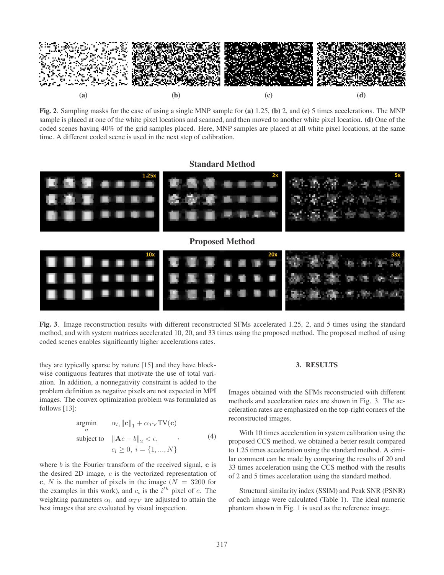

Fig. 2. Sampling masks for the case of using a single MNP sample for (a) 1.25, (b) 2, and (c) 5 times accelerations. The MNP sample is placed at one of the white pixel locations and scanned, and then moved to another white pixel location. (d) One of the coded scenes having 40% of the grid samples placed. Here, MNP samples are placed at all white pixel locations, at the same time. A different coded scene is used in the next step of calibration.

## Standard Method



Fig. 3. Image reconstruction results with different reconstructed SFMs accelerated 1.25, 2, and 5 times using the standard method, and with system matrices accelerated 10, 20, and 33 times using the proposed method. The proposed method of using coded scenes enables significantly higher accelerations rates.

they are typically sparse by nature [15] and they have blockwise contiguous features that motivate the use of total variation. In addition, a nonnegativity constraint is added to the problem definition as negative pixels are not expected in MPI images. The convex optimization problem was formulated as follows [13]:

$$
\underset{\mathbf{c}}{\text{argmin}} \qquad \alpha_{l_1} \|\mathbf{c}\|_1 + \alpha_{TV} \text{TV}(\mathbf{c})
$$
\n
$$
\text{subject to} \quad \|\mathbf{A}c - b\|_2 < \epsilon, \qquad , \qquad (4)
$$
\n
$$
c_i \ge 0, \ i = \{1, ..., N\}
$$

where b is the Fourier transform of the received signal, **c** is the desired 2D image,  $c$  is the vectorized representation of **c**, N is the number of pixels in the image ( $N = 3200$  for the examples in this work), and  $c_i$  is the  $i^{th}$  pixel of c. The weighting parameters  $\alpha_{l_1}$  and  $\alpha_{TV}$  are adjusted to attain the best images that are evaluated by visual inspection.

## 3. RESULTS

Images obtained with the SFMs reconstructed with different methods and acceleration rates are shown in Fig. 3. The acceleration rates are emphasized on the top-right corners of the reconstructed images.

With 10 times acceleration in system calibration using the proposed CCS method, we obtained a better result compared to 1.25 times acceleration using the standard method. A similar comment can be made by comparing the results of 20 and 33 times acceleration using the CCS method with the results of 2 and 5 times acceleration using the standard method.

Structural similarity index (SSIM) and Peak SNR (PSNR) of each image were calculated (Table 1). The ideal numeric phantom shown in Fig. 1 is used as the reference image.